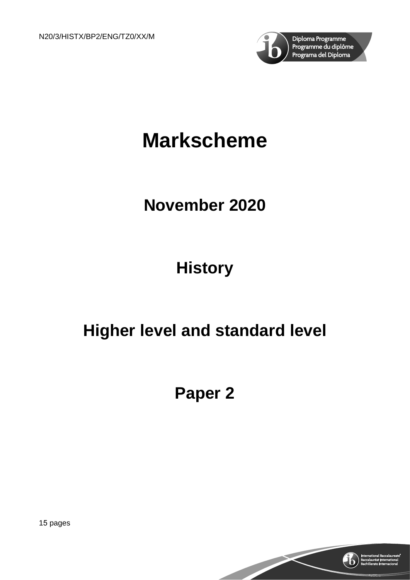

# **Markscheme**

# **November 2020**

# **History**

# **Higher level and standard level**

# **Paper 2**

15 pages

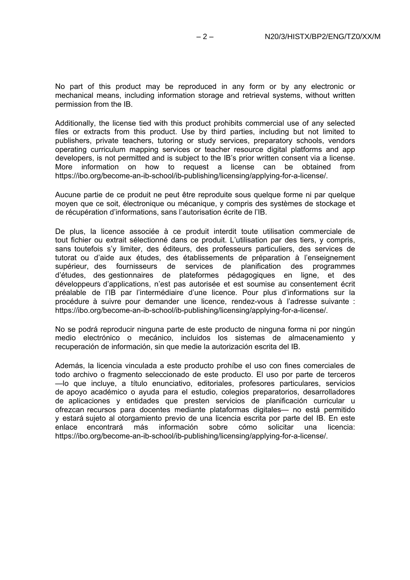No part of this product may be reproduced in any form or by any electronic or mechanical means, including information storage and retrieval systems, without written permission from the IB.

Additionally, the license tied with this product prohibits commercial use of any selected files or extracts from this product. Use by third parties, including but not limited to publishers, private teachers, tutoring or study services, preparatory schools, vendors operating curriculum mapping services or teacher resource digital platforms and app developers, is not permitted and is subject to the IB's prior written consent via a license. More information on how to request a license can be obtained from https://ibo.org/become-an-ib-school/ib-publishing/licensing/applying-for-a-license/.

Aucune partie de ce produit ne peut être reproduite sous quelque forme ni par quelque moyen que ce soit, électronique ou mécanique, y compris des systèmes de stockage et de récupération d'informations, sans l'autorisation écrite de l'IB.

De plus, la licence associée à ce produit interdit toute utilisation commerciale de tout fichier ou extrait sélectionné dans ce produit. L'utilisation par des tiers, y compris, sans toutefois s'y limiter, des éditeurs, des professeurs particuliers, des services de tutorat ou d'aide aux études, des établissements de préparation à l'enseignement supérieur, des fournisseurs de services de planification des programmes d'études, des gestionnaires de plateformes pédagogiques en ligne, et des développeurs d'applications, n'est pas autorisée et est soumise au consentement écrit préalable de l'IB par l'intermédiaire d'une licence. Pour plus d'informations sur la procédure à suivre pour demander une licence, rendez-vous à l'adresse suivante : https://ibo.org/become-an-ib-school/ib-publishing/licensing/applying-for-a-license/.

No se podrá reproducir ninguna parte de este producto de ninguna forma ni por ningún medio electrónico o mecánico, incluidos los sistemas de almacenamiento y recuperación de información, sin que medie la autorización escrita del IB.

Además, la licencia vinculada a este producto prohíbe el uso con fines comerciales de todo archivo o fragmento seleccionado de este producto. El uso por parte de terceros —lo que incluye, a título enunciativo, editoriales, profesores particulares, servicios de apoyo académico o ayuda para el estudio, colegios preparatorios, desarrolladores de aplicaciones y entidades que presten servicios de planificación curricular u ofrezcan recursos para docentes mediante plataformas digitales— no está permitido y estará sujeto al otorgamiento previo de una licencia escrita por parte del IB. En este<br>enlace encontrará más información sobre cómo solicitar una licencia: enlace encontrará más https://ibo.org/become-an-ib-school/ib-publishing/licensing/applying-for-a-license/.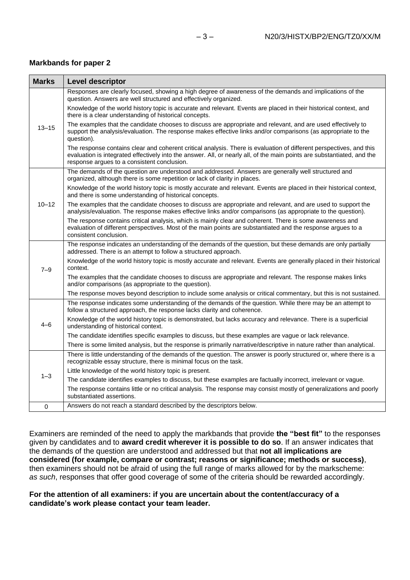#### **Markbands for paper 2**

| <b>Marks</b> | <b>Level descriptor</b>                                                                                                                                                                                                                                                                       |
|--------------|-----------------------------------------------------------------------------------------------------------------------------------------------------------------------------------------------------------------------------------------------------------------------------------------------|
| $13 - 15$    | Responses are clearly focused, showing a high degree of awareness of the demands and implications of the<br>question. Answers are well structured and effectively organized.                                                                                                                  |
|              | Knowledge of the world history topic is accurate and relevant. Events are placed in their historical context, and<br>there is a clear understanding of historical concepts.                                                                                                                   |
|              | The examples that the candidate chooses to discuss are appropriate and relevant, and are used effectively to<br>support the analysis/evaluation. The response makes effective links and/or comparisons (as appropriate to the<br>question).                                                   |
|              | The response contains clear and coherent critical analysis. There is evaluation of different perspectives, and this<br>evaluation is integrated effectively into the answer. All, or nearly all, of the main points are substantiated, and the<br>response argues to a consistent conclusion. |
| $10 - 12$    | The demands of the question are understood and addressed. Answers are generally well structured and<br>organized, although there is some repetition or lack of clarity in places.                                                                                                             |
|              | Knowledge of the world history topic is mostly accurate and relevant. Events are placed in their historical context,<br>and there is some understanding of historical concepts.                                                                                                               |
|              | The examples that the candidate chooses to discuss are appropriate and relevant, and are used to support the<br>analysis/evaluation. The response makes effective links and/or comparisons (as appropriate to the question).                                                                  |
|              | The response contains critical analysis, which is mainly clear and coherent. There is some awareness and<br>evaluation of different perspectives. Most of the main points are substantiated and the response argues to a<br>consistent conclusion.                                            |
| $7 - 9$      | The response indicates an understanding of the demands of the question, but these demands are only partially<br>addressed. There is an attempt to follow a structured approach.                                                                                                               |
|              | Knowledge of the world history topic is mostly accurate and relevant. Events are generally placed in their historical<br>context.                                                                                                                                                             |
|              | The examples that the candidate chooses to discuss are appropriate and relevant. The response makes links<br>and/or comparisons (as appropriate to the question).                                                                                                                             |
|              | The response moves beyond description to include some analysis or critical commentary, but this is not sustained.                                                                                                                                                                             |
| $4 - 6$      | The response indicates some understanding of the demands of the question. While there may be an attempt to<br>follow a structured approach, the response lacks clarity and coherence.                                                                                                         |
|              | Knowledge of the world history topic is demonstrated, but lacks accuracy and relevance. There is a superficial<br>understanding of historical context.                                                                                                                                        |
|              | The candidate identifies specific examples to discuss, but these examples are vague or lack relevance.                                                                                                                                                                                        |
|              | There is some limited analysis, but the response is primarily narrative/descriptive in nature rather than analytical.                                                                                                                                                                         |
| $1 - 3$      | There is little understanding of the demands of the question. The answer is poorly structured or, where there is a<br>recognizable essay structure, there is minimal focus on the task.                                                                                                       |
|              | Little knowledge of the world history topic is present.                                                                                                                                                                                                                                       |
|              | The candidate identifies examples to discuss, but these examples are factually incorrect, irrelevant or vague.                                                                                                                                                                                |
|              | The response contains little or no critical analysis. The response may consist mostly of generalizations and poorly<br>substantiated assertions.                                                                                                                                              |
| $\mathbf 0$  | Answers do not reach a standard described by the descriptors below.                                                                                                                                                                                                                           |

Examiners are reminded of the need to apply the markbands that provide **the "best fit"** to the responses given by candidates and to **award credit wherever it is possible to do so**. If an answer indicates that the demands of the question are understood and addressed but that **not all implications are considered (for example, compare or contrast; reasons or significance; methods or success)**, then examiners should not be afraid of using the full range of marks allowed for by the markscheme: *as such*, responses that offer good coverage of some of the criteria should be rewarded accordingly.

#### **For the attention of all examiners: if you are uncertain about the content/accuracy of a candidate's work please contact your team leader.**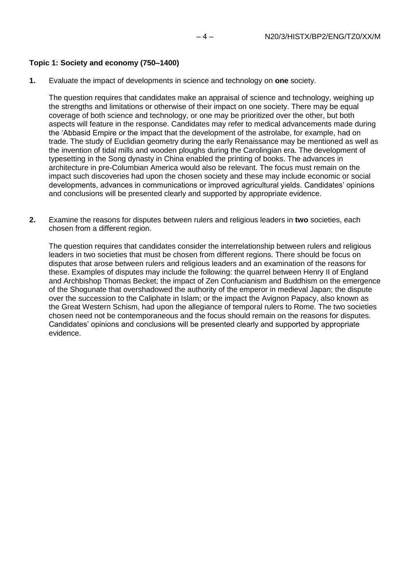#### **Topic 1: Society and economy (750–1400)**

**1.** Evaluate the impact of developments in science and technology on **one** society.

The question requires that candidates make an appraisal of science and technology, weighing up the strengths and limitations or otherwise of their impact on one society. There may be equal coverage of both science and technology, or one may be prioritized over the other, but both aspects will feature in the response. Candidates may refer to medical advancements made during the 'Abbasid Empire or the impact that the development of the astrolabe, for example, had on trade. The study of Euclidian geometry during the early Renaissance may be mentioned as well as the invention of tidal mills and wooden ploughs during the Carolingian era. The development of typesetting in the Song dynasty in China enabled the printing of books. The advances in architecture in pre-Columbian America would also be relevant. The focus must remain on the impact such discoveries had upon the chosen society and these may include economic or social developments, advances in communications or improved agricultural yields. Candidates' opinions and conclusions will be presented clearly and supported by appropriate evidence.

**2.** Examine the reasons for disputes between rulers and religious leaders in **two** societies, each chosen from a different region.

The question requires that candidates consider the interrelationship between rulers and religious leaders in two societies that must be chosen from different regions. There should be focus on disputes that arose between rulers and religious leaders and an examination of the reasons for these. Examples of disputes may include the following: the quarrel between Henry II of England and Archbishop Thomas Becket; the impact of Zen Confucianism and Buddhism on the emergence of the Shogunate that overshadowed the authority of the emperor in medieval Japan; the dispute over the succession to the Caliphate in Islam; or the impact the Avignon Papacy, also known as the Great Western Schism, had upon the allegiance of temporal rulers to Rome. The two societies chosen need not be contemporaneous and the focus should remain on the reasons for disputes. Candidates' opinions and conclusions will be presented clearly and supported by appropriate evidence.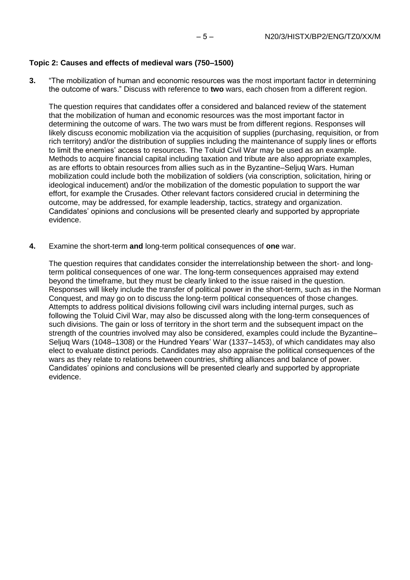# **Topic 2: Causes and effects of medieval wars (750–1500)**

**3.** "The mobilization of human and economic resources was the most important factor in determining the outcome of wars." Discuss with reference to **two** wars, each chosen from a different region.

The question requires that candidates offer a considered and balanced review of the statement that the mobilization of human and economic resources was the most important factor in determining the outcome of wars. The two wars must be from different regions. Responses will likely discuss economic mobilization via the acquisition of supplies (purchasing, requisition, or from rich territory) and/or the distribution of supplies including the maintenance of supply lines or efforts to limit the enemies' access to resources. The Toluid Civil War may be used as an example. Methods to acquire financial capital including taxation and tribute are also appropriate examples, as are efforts to obtain resources from allies such as in the Byzantine–Seljuq Wars. Human mobilization could include both the mobilization of soldiers (via conscription, solicitation, hiring or ideological inducement) and/or the mobilization of the domestic population to support the war effort, for example the Crusades. Other relevant factors considered crucial in determining the outcome, may be addressed, for example leadership, tactics, strategy and organization. Candidates' opinions and conclusions will be presented clearly and supported by appropriate evidence.

**4.** Examine the short-term **and** long-term political consequences of **one** war.

The question requires that candidates consider the interrelationship between the short- and longterm political consequences of one war. The long-term consequences appraised may extend beyond the timeframe, but they must be clearly linked to the issue raised in the question. Responses will likely include the transfer of political power in the short-term, such as in the Norman Conquest, and may go on to discuss the long-term political consequences of those changes. Attempts to address political divisions following civil wars including internal purges, such as following the Toluid Civil War, may also be discussed along with the long-term consequences of such divisions. The gain or loss of territory in the short term and the subsequent impact on the strength of the countries involved may also be considered, examples could include the Byzantine– Seljuq Wars (1048–1308) or the Hundred Years' War (1337–1453), of which candidates may also elect to evaluate distinct periods. Candidates may also appraise the political consequences of the wars as they relate to relations between countries, shifting alliances and balance of power. Candidates' opinions and conclusions will be presented clearly and supported by appropriate evidence.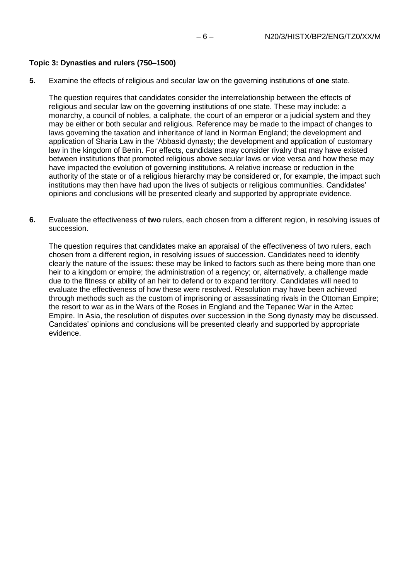#### **Topic 3: Dynasties and rulers (750–1500)**

**5.** Examine the effects of religious and secular law on the governing institutions of **one** state.

The question requires that candidates consider the interrelationship between the effects of religious and secular law on the governing institutions of one state. These may include: a monarchy, a council of nobles, a caliphate, the court of an emperor or a judicial system and they may be either or both secular and religious. Reference may be made to the impact of changes to laws governing the taxation and inheritance of land in Norman England; the development and application of Sharia Law in the 'Abbasid dynasty; the development and application of customary law in the kingdom of Benin. For effects, candidates may consider rivalry that may have existed between institutions that promoted religious above secular laws or vice versa and how these may have impacted the evolution of governing institutions. A relative increase or reduction in the authority of the state or of a religious hierarchy may be considered or, for example, the impact such institutions may then have had upon the lives of subjects or religious communities. Candidates' opinions and conclusions will be presented clearly and supported by appropriate evidence.

**6.** Evaluate the effectiveness of **two** rulers, each chosen from a different region, in resolving issues of succession.

The question requires that candidates make an appraisal of the effectiveness of two rulers, each chosen from a different region, in resolving issues of succession. Candidates need to identify clearly the nature of the issues: these may be linked to factors such as there being more than one heir to a kingdom or empire; the administration of a regency; or, alternatively, a challenge made due to the fitness or ability of an heir to defend or to expand territory. Candidates will need to evaluate the effectiveness of how these were resolved. Resolution may have been achieved through methods such as the custom of imprisoning or assassinating rivals in the Ottoman Empire; the resort to war as in the Wars of the Roses in England and the Tepanec War in the Aztec Empire. In Asia, the resolution of disputes over succession in the Song dynasty may be discussed. Candidates' opinions and conclusions will be presented clearly and supported by appropriate evidence.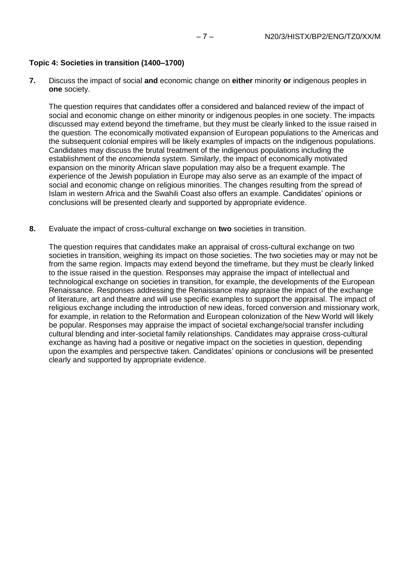### **Topic 4: Societies in transition (1400–1700)**

**7.** Discuss the impact of social **and** economic change on **either** minority **or** indigenous peoples in **one** society.

The question requires that candidates offer a considered and balanced review of the impact of social and economic change on either minority or indigenous peoples in one society. The impacts discussed may extend beyond the timeframe, but they must be clearly linked to the issue raised in the question. The economically motivated expansion of European populations to the Americas and the subsequent colonial empires will be likely examples of impacts on the indigenous populations. Candidates may discuss the brutal treatment of the indigenous populations including the establishment of the *encomienda* system. Similarly, the impact of economically motivated expansion on the minority African slave population may also be a frequent example. The experience of the Jewish population in Europe may also serve as an example of the impact of social and economic change on religious minorities. The changes resulting from the spread of Islam in western Africa and the Swahili Coast also offers an example. Candidates' opinions or conclusions will be presented clearly and supported by appropriate evidence.

**8.** Evaluate the impact of cross-cultural exchange on **two** societies in transition.

The question requires that candidates make an appraisal of cross-cultural exchange on two societies in transition, weighing its impact on those societies. The two societies may or may not be from the same region. Impacts may extend beyond the timeframe, but they must be clearly linked to the issue raised in the question. Responses may appraise the impact of intellectual and technological exchange on societies in transition, for example, the developments of the European Renaissance. Responses addressing the Renaissance may appraise the impact of the exchange of literature, art and theatre and will use specific examples to support the appraisal. The impact of religious exchange including the introduction of new ideas, forced conversion and missionary work, for example, in relation to the Reformation and European colonization of the New World will likely be popular. Responses may appraise the impact of societal exchange/social transfer including cultural blending and inter-societal family relationships. Candidates may appraise cross-cultural exchange as having had a positive or negative impact on the societies in question, depending upon the examples and perspective taken. Candidates' opinions or conclusions will be presented clearly and supported by appropriate evidence.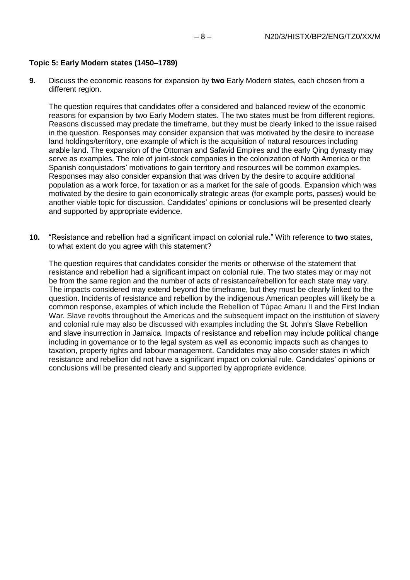### **Topic 5: Early Modern states (1450–1789)**

**9.** Discuss the economic reasons for expansion by **two** Early Modern states, each chosen from a different region.

The question requires that candidates offer a considered and balanced review of the economic reasons for expansion by two Early Modern states. The two states must be from different regions. Reasons discussed may predate the timeframe, but they must be clearly linked to the issue raised in the question. Responses may consider expansion that was motivated by the desire to increase land holdings/territory, one example of which is the acquisition of natural resources including arable land. The expansion of the Ottoman and Safavid Empires and the early Qing dynasty may serve as examples. The role of joint-stock companies in the colonization of North America or the Spanish conquistadors' motivations to gain territory and resources will be common examples. Responses may also consider expansion that was driven by the desire to acquire additional population as a work force, for taxation or as a market for the sale of goods. Expansion which was motivated by the desire to gain economically strategic areas (for example ports, passes) would be another viable topic for discussion. Candidates' opinions or conclusions will be presented clearly and supported by appropriate evidence.

**10.** "Resistance and rebellion had a significant impact on colonial rule." With reference to **two** states, to what extent do you agree with this statement?

The question requires that candidates consider the merits or otherwise of the statement that resistance and rebellion had a significant impact on colonial rule. The two states may or may not be from the same region and the number of acts of resistance/rebellion for each state may vary. The impacts considered may extend beyond the timeframe, but they must be clearly linked to the question. Incidents of resistance and rebellion by the indigenous American peoples will likely be a common response, examples of which include the Rebellion of Túpac Amaru II and the First Indian War. Slave revolts throughout the Americas and the subsequent impact on the institution of slavery and colonial rule may also be discussed with examples including the St. John's Slave Rebellion and slave insurrection in Jamaica. Impacts of resistance and rebellion may include political change including in governance or to the legal system as well as economic impacts such as changes to taxation, property rights and labour management. Candidates may also consider states in which resistance and rebellion did not have a significant impact on colonial rule. Candidates' opinions or conclusions will be presented clearly and supported by appropriate evidence.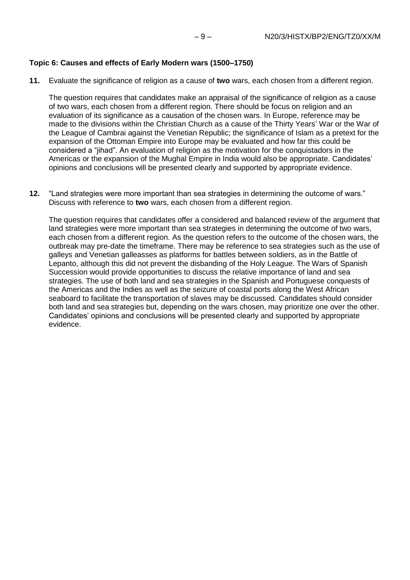#### **Topic 6: Causes and effects of Early Modern wars (1500–1750)**

**11.** Evaluate the significance of religion as a cause of **two** wars, each chosen from a different region.

The question requires that candidates make an appraisal of the significance of religion as a cause of two wars, each chosen from a different region. There should be focus on religion and an evaluation of its significance as a causation of the chosen wars. In Europe, reference may be made to the divisions within the Christian Church as a cause of the Thirty Years' War or the War of the League of Cambrai against the Venetian Republic; the significance of Islam as a pretext for the expansion of the Ottoman Empire into Europe may be evaluated and how far this could be considered a "jihad". An evaluation of religion as the motivation for the conquistadors in the Americas or the expansion of the Mughal Empire in India would also be appropriate. Candidates' opinions and conclusions will be presented clearly and supported by appropriate evidence.

**12.** "Land strategies were more important than sea strategies in determining the outcome of wars." Discuss with reference to **two** wars, each chosen from a different region.

The question requires that candidates offer a considered and balanced review of the argument that land strategies were more important than sea strategies in determining the outcome of two wars, each chosen from a different region. As the question refers to the outcome of the chosen wars, the outbreak may pre-date the timeframe. There may be reference to sea strategies such as the use of galleys and Venetian galleasses as platforms for battles between soldiers, as in the Battle of Lepanto, although this did not prevent the disbanding of the Holy League. The Wars of Spanish Succession would provide opportunities to discuss the relative importance of land and sea strategies. The use of both land and sea strategies in the Spanish and Portuguese conquests of the Americas and the Indies as well as the seizure of coastal ports along the West African seaboard to facilitate the transportation of slaves may be discussed. Candidates should consider both land and sea strategies but, depending on the wars chosen, may prioritize one over the other. Candidates' opinions and conclusions will be presented clearly and supported by appropriate evidence.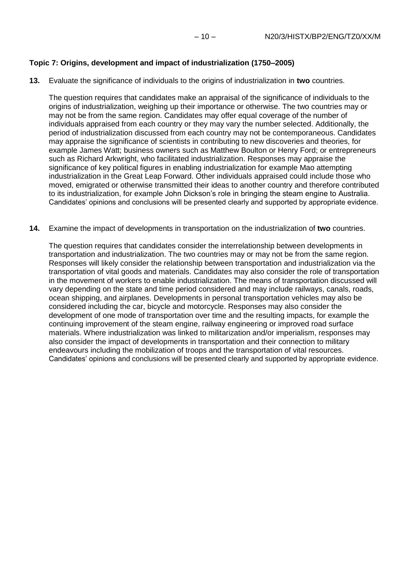# **Topic 7: Origins, development and impact of industrialization (1750–2005)**

**13.** Evaluate the significance of individuals to the origins of industrialization in **two** countries.

The question requires that candidates make an appraisal of the significance of individuals to the origins of industrialization, weighing up their importance or otherwise. The two countries may or may not be from the same region. Candidates may offer equal coverage of the number of individuals appraised from each country or they may vary the number selected. Additionally, the period of industrialization discussed from each country may not be contemporaneous. Candidates may appraise the significance of scientists in contributing to new discoveries and theories, for example James Watt; business owners such as Matthew Boulton or Henry Ford; or entrepreneurs such as Richard Arkwright, who facilitated industrialization. Responses may appraise the significance of key political figures in enabling industrialization for example Mao attempting industrialization in the Great Leap Forward. Other individuals appraised could include those who moved, emigrated or otherwise transmitted their ideas to another country and therefore contributed to its industrialization, for example John Dickson's role in bringing the steam engine to Australia. Candidates' opinions and conclusions will be presented clearly and supported by appropriate evidence.

**14.** Examine the impact of developments in transportation on the industrialization of **two** countries.

The question requires that candidates consider the interrelationship between developments in transportation and industrialization. The two countries may or may not be from the same region. Responses will likely consider the relationship between transportation and industrialization via the transportation of vital goods and materials. Candidates may also consider the role of transportation in the movement of workers to enable industrialization. The means of transportation discussed will vary depending on the state and time period considered and may include railways, canals, roads, ocean shipping, and airplanes. Developments in personal transportation vehicles may also be considered including the car, bicycle and motorcycle. Responses may also consider the development of one mode of transportation over time and the resulting impacts, for example the continuing improvement of the steam engine, railway engineering or improved road surface materials. Where industrialization was linked to militarization and/or imperialism, responses may also consider the impact of developments in transportation and their connection to military endeavours including the mobilization of troops and the transportation of vital resources. Candidates' opinions and conclusions will be presented clearly and supported by appropriate evidence.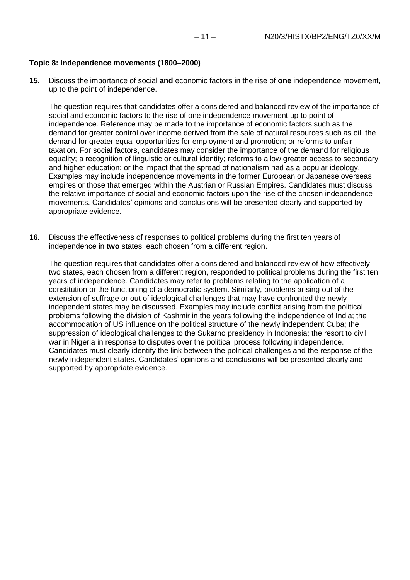#### **Topic 8: Independence movements (1800–2000)**

**15.** Discuss the importance of social **and** economic factors in the rise of **one** independence movement, up to the point of independence.

The question requires that candidates offer a considered and balanced review of the importance of social and economic factors to the rise of one independence movement up to point of independence. Reference may be made to the importance of economic factors such as the demand for greater control over income derived from the sale of natural resources such as oil; the demand for greater equal opportunities for employment and promotion; or reforms to unfair taxation. For social factors, candidates may consider the importance of the demand for religious equality; a recognition of linguistic or cultural identity; reforms to allow greater access to secondary and higher education; or the impact that the spread of nationalism had as a popular ideology. Examples may include independence movements in the former European or Japanese overseas empires or those that emerged within the Austrian or Russian Empires. Candidates must discuss the relative importance of social and economic factors upon the rise of the chosen independence movements. Candidates' opinions and conclusions will be presented clearly and supported by appropriate evidence.

**16.** Discuss the effectiveness of responses to political problems during the first ten years of independence in **two** states, each chosen from a different region.

The question requires that candidates offer a considered and balanced review of how effectively two states, each chosen from a different region, responded to political problems during the first ten years of independence. Candidates may refer to problems relating to the application of a constitution or the functioning of a democratic system. Similarly, problems arising out of the extension of suffrage or out of ideological challenges that may have confronted the newly independent states may be discussed. Examples may include conflict arising from the political problems following the division of Kashmir in the years following the independence of India; the accommodation of US influence on the political structure of the newly independent Cuba; the suppression of ideological challenges to the Sukarno presidency in Indonesia; the resort to civil war in Nigeria in response to disputes over the political process following independence. Candidates must clearly identify the link between the political challenges and the response of the newly independent states. Candidates' opinions and conclusions will be presented clearly and supported by appropriate evidence.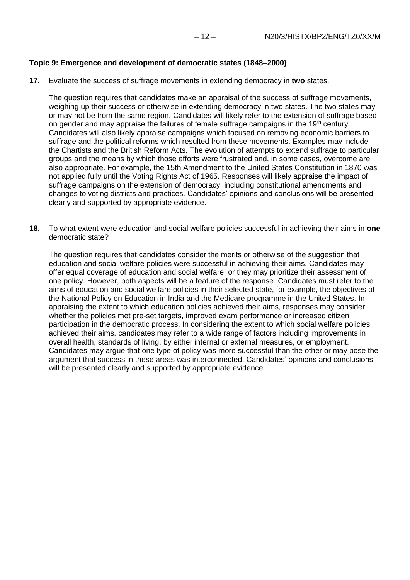# **Topic 9: Emergence and development of democratic states (1848–2000)**

**17.** Evaluate the success of suffrage movements in extending democracy in **two** states.

The question requires that candidates make an appraisal of the success of suffrage movements, weighing up their success or otherwise in extending democracy in two states. The two states may or may not be from the same region. Candidates will likely refer to the extension of suffrage based on gender and may appraise the failures of female suffrage campaigns in the 19<sup>th</sup> century. Candidates will also likely appraise campaigns which focused on removing economic barriers to suffrage and the political reforms which resulted from these movements. Examples may include the Chartists and the British Reform Acts. The evolution of attempts to extend suffrage to particular groups and the means by which those efforts were frustrated and, in some cases, overcome are also appropriate. For example, the 15th Amendment to the United States Constitution in 1870 was not applied fully until the Voting Rights Act of 1965. Responses will likely appraise the impact of suffrage campaigns on the extension of democracy, including constitutional amendments and changes to voting districts and practices. Candidates' opinions and conclusions will be presented clearly and supported by appropriate evidence.

**18.** To what extent were education and social welfare policies successful in achieving their aims in **one** democratic state?

The question requires that candidates consider the merits or otherwise of the suggestion that education and social welfare policies were successful in achieving their aims. Candidates may offer equal coverage of education and social welfare, or they may prioritize their assessment of one policy. However, both aspects will be a feature of the response. Candidates must refer to the aims of education and social welfare policies in their selected state, for example, the objectives of the National Policy on Education in India and the Medicare programme in the United States. In appraising the extent to which education policies achieved their aims, responses may consider whether the policies met pre-set targets, improved exam performance or increased citizen participation in the democratic process. In considering the extent to which social welfare policies achieved their aims, candidates may refer to a wide range of factors including improvements in overall health, standards of living, by either internal or external measures, or employment. Candidates may argue that one type of policy was more successful than the other or may pose the argument that success in these areas was interconnected. Candidates' opinions and conclusions will be presented clearly and supported by appropriate evidence.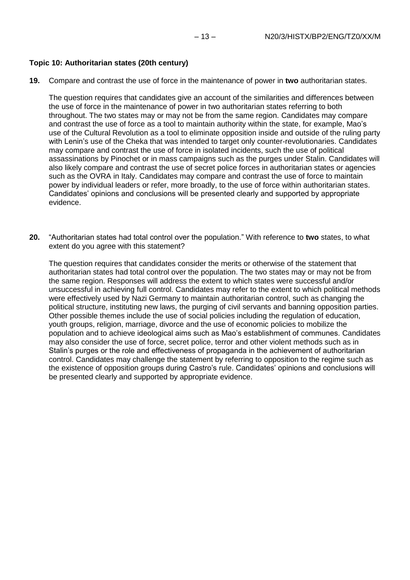# **Topic 10: Authoritarian states (20th century)**

**19.** Compare and contrast the use of force in the maintenance of power in **two** authoritarian states.

The question requires that candidates give an account of the similarities and differences between the use of force in the maintenance of power in two authoritarian states referring to both throughout. The two states may or may not be from the same region. Candidates may compare and contrast the use of force as a tool to maintain authority within the state, for example, Mao's use of the Cultural Revolution as a tool to eliminate opposition inside and outside of the ruling party with Lenin's use of the Cheka that was intended to target only counter-revolutionaries. Candidates may compare and contrast the use of force in isolated incidents, such the use of political assassinations by Pinochet or in mass campaigns such as the purges under Stalin. Candidates will also likely compare and contrast the use of secret police forces in authoritarian states or agencies such as the OVRA in Italy. Candidates may compare and contrast the use of force to maintain power by individual leaders or refer, more broadly, to the use of force within authoritarian states. Candidates' opinions and conclusions will be presented clearly and supported by appropriate evidence.

**20.** "Authoritarian states had total control over the population." With reference to **two** states, to what extent do you agree with this statement?

The question requires that candidates consider the merits or otherwise of the statement that authoritarian states had total control over the population. The two states may or may not be from the same region. Responses will address the extent to which states were successful and/or unsuccessful in achieving full control. Candidates may refer to the extent to which political methods were effectively used by Nazi Germany to maintain authoritarian control, such as changing the political structure, instituting new laws, the purging of civil servants and banning opposition parties. Other possible themes include the use of social policies including the regulation of education, youth groups, religion, marriage, divorce and the use of economic policies to mobilize the population and to achieve ideological aims such as Mao's establishment of communes. Candidates may also consider the use of force, secret police, terror and other violent methods such as in Stalin's purges or the role and effectiveness of propaganda in the achievement of authoritarian control. Candidates may challenge the statement by referring to opposition to the regime such as the existence of opposition groups during Castro's rule. Candidates' opinions and conclusions will be presented clearly and supported by appropriate evidence.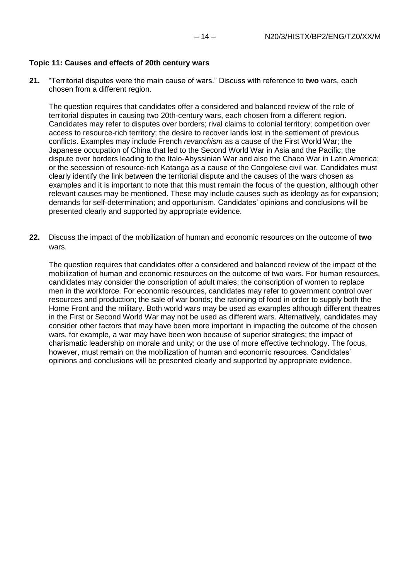### **Topic 11: Causes and effects of 20th century wars**

**21.** "Territorial disputes were the main cause of wars." Discuss with reference to **two** wars, each chosen from a different region.

The question requires that candidates offer a considered and balanced review of the role of territorial disputes in causing two 20th-century wars, each chosen from a different region. Candidates may refer to disputes over borders; rival claims to colonial territory; competition over access to resource-rich territory; the desire to recover lands lost in the settlement of previous conflicts. Examples may include French *revanchism* as a cause of the First World War; the Japanese occupation of China that led to the Second World War in Asia and the Pacific; the dispute over borders leading to the Italo-Abyssinian War and also the Chaco War in Latin America; or the secession of resource-rich Katanga as a cause of the Congolese civil war. Candidates must clearly identify the link between the territorial dispute and the causes of the wars chosen as examples and it is important to note that this must remain the focus of the question, although other relevant causes may be mentioned. These may include causes such as ideology as for expansion; demands for self-determination; and opportunism. Candidates' opinions and conclusions will be presented clearly and supported by appropriate evidence.

**22.** Discuss the impact of the mobilization of human and economic resources on the outcome of **two** wars.

The question requires that candidates offer a considered and balanced review of the impact of the mobilization of human and economic resources on the outcome of two wars. For human resources, candidates may consider the conscription of adult males; the conscription of women to replace men in the workforce. For economic resources, candidates may refer to government control over resources and production; the sale of war bonds; the rationing of food in order to supply both the Home Front and the military. Both world wars may be used as examples although different theatres in the First or Second World War may not be used as different wars. Alternatively, candidates may consider other factors that may have been more important in impacting the outcome of the chosen wars, for example, a war may have been won because of superior strategies; the impact of charismatic leadership on morale and unity; or the use of more effective technology. The focus, however, must remain on the mobilization of human and economic resources. Candidates' opinions and conclusions will be presented clearly and supported by appropriate evidence.